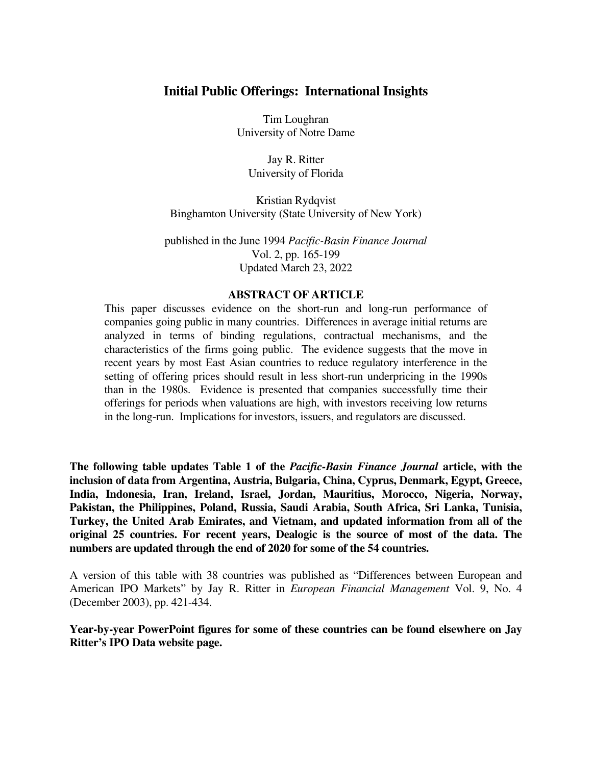## **Initial Public Offerings: International Insights**

Tim Loughran University of Notre Dame

Jay R. Ritter University of Florida

 Kristian Rydqvist Binghamton University (State University of New York)

 published in the June 1994 *Pacific-Basin Finance Journal* Vol. 2, pp. 165-199 Updated March 23, 2022

## **ABSTRACT OF ARTICLE**

 This paper discusses evidence on the short-run and long-run performance of companies going public in many countries. Differences in average initial returns are analyzed in terms of binding regulations, contractual mechanisms, and the characteristics of the firms going public. The evidence suggests that the move in recent years by most East Asian countries to reduce regulatory interference in the setting of offering prices should result in less short-run underpricing in the 1990s than in the 1980s. Evidence is presented that companies successfully time their offerings for periods when valuations are high, with investors receiving low returns in the long-run. Implications for investors, issuers, and regulators are discussed.

**The following table updates Table 1 of the** *Pacific-Basin Finance Journal* **article, with the inclusion of data from Argentina, Austria, Bulgaria, China, Cyprus, Denmark, Egypt, Greece, India, Indonesia, Iran, Ireland, Israel, Jordan, Mauritius, Morocco, Nigeria, Norway, Pakistan, the Philippines, Poland, Russia, Saudi Arabia, South Africa, Sri Lanka, Tunisia, Turkey, the United Arab Emirates, and Vietnam, and updated information from all of the original 25 countries. For recent years, Dealogic is the source of most of the data. The numbers are updated through the end of 2020 for some of the 54 countries.** 

A version of this table with 38 countries was published as "Differences between European and American IPO Markets" by Jay R. Ritter in *European Financial Management* Vol. 9, No. 4 (December 2003), pp. 421-434.

**Year-by-year PowerPoint figures for some of these countries can be found elsewhere on Jay Ritter's IPO Data website page.**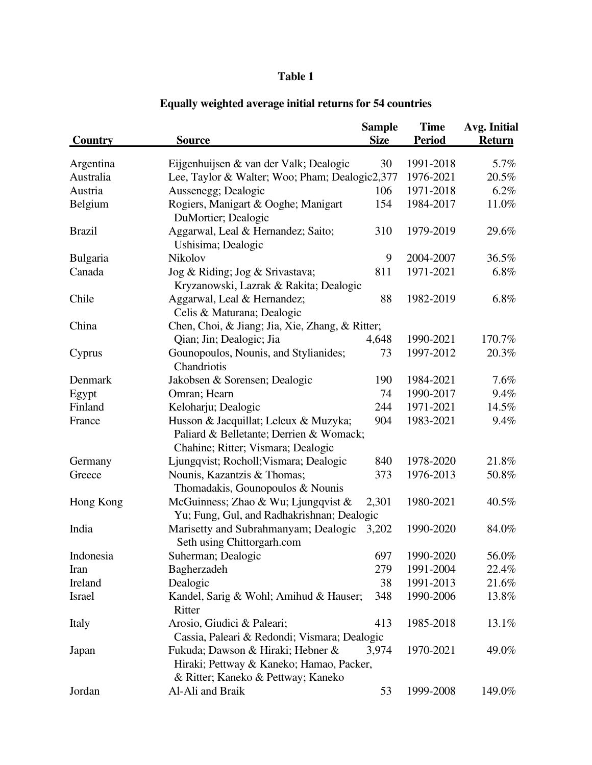## **Table 1**

|                 |                                                                                                                                                    | <b>Sample</b> | <b>Time</b>   | Avg. Initial  |  |  |
|-----------------|----------------------------------------------------------------------------------------------------------------------------------------------------|---------------|---------------|---------------|--|--|
| Country         | <b>Source</b>                                                                                                                                      | <b>Size</b>   | <b>Period</b> | <b>Return</b> |  |  |
| Argentina       | Eijgenhuijsen & van der Valk; Dealogic                                                                                                             | 30            | 1991-2018     | 5.7%          |  |  |
| Australia       | Lee, Taylor & Walter; Woo; Pham; Dealogic2,377                                                                                                     | 1976-2021     | 20.5%         |               |  |  |
| Austria         | Aussenegg; Dealogic                                                                                                                                | 106           | 1971-2018     | 6.2%          |  |  |
| Belgium         | Rogiers, Manigart & Ooghe; Manigart<br>DuMortier; Dealogic                                                                                         | 154           | 1984-2017     | 11.0%         |  |  |
| <b>Brazil</b>   | Aggarwal, Leal & Hernandez; Saito;<br>Ushisima; Dealogic                                                                                           | 310           | 1979-2019     | 29.6%         |  |  |
| <b>Bulgaria</b> | Nikolov                                                                                                                                            | 9             | 2004-2007     | 36.5%         |  |  |
| Canada          | Jog & Riding; Jog & Srivastava;                                                                                                                    | 811           | 1971-2021     | 6.8%          |  |  |
|                 | Kryzanowski, Lazrak & Rakita; Dealogic                                                                                                             |               |               |               |  |  |
| Chile           | Aggarwal, Leal & Hernandez;<br>Celis & Maturana; Dealogic                                                                                          | 88            | 1982-2019     | 6.8%          |  |  |
| China           | Chen, Choi, & Jiang; Jia, Xie, Zhang, & Ritter;                                                                                                    |               |               |               |  |  |
|                 | Qian; Jin; Dealogic; Jia                                                                                                                           | 4,648         | 1990-2021     | 170.7%        |  |  |
| Cyprus          | Gounopoulos, Nounis, and Stylianides;<br>Chandriotis                                                                                               | 73            | 1997-2012     | 20.3%         |  |  |
| Denmark         | Jakobsen & Sorensen; Dealogic                                                                                                                      | 190           | 1984-2021     | 7.6%          |  |  |
| Egypt           | Omran; Hearn                                                                                                                                       | 74            | 1990-2017     | 9.4%          |  |  |
| Finland         | Keloharju; Dealogic                                                                                                                                | 244           | 1971-2021     | 14.5%         |  |  |
| France          | Husson & Jacquillat; Leleux & Muzyka;                                                                                                              | 904           | 1983-2021     | 9.4%          |  |  |
|                 | Paliard & Belletante; Derrien & Womack;<br>Chahine; Ritter; Vismara; Dealogic                                                                      |               |               |               |  |  |
| Germany         | Ljungqvist; Rocholl; Vismara; Dealogic                                                                                                             | 840           | 1978-2020     | 21.8%         |  |  |
| Greece          | Nounis, Kazantzis & Thomas;<br>Thomadakis, Gounopoulos & Nounis                                                                                    | 373           | 1976-2013     | 50.8%         |  |  |
| Hong Kong       | McGuinness; Zhao & Wu; Ljungqvist &<br>Yu; Fung, Gul, and Radhakrishnan; Dealogic                                                                  | 2,301         | 1980-2021     | 40.5%         |  |  |
| India           | Marisetty and Subrahmanyam; Dealogic<br>Seth using Chittorgarh.com                                                                                 | 3,202         | 1990-2020     | 84.0%         |  |  |
| Indonesia       | Suherman; Dealogic                                                                                                                                 | 697           | 1990-2020     | 56.0%         |  |  |
| Iran            | Bagherzadeh                                                                                                                                        | 279           | 1991-2004     | 22.4%         |  |  |
| Ireland         | Dealogic                                                                                                                                           | 38            | 1991-2013     | 21.6%         |  |  |
| <b>Israel</b>   | Kandel, Sarig & Wohl; Amihud & Hauser;<br>Ritter                                                                                                   | 348           | 1990-2006     | 13.8%         |  |  |
| Italy           | Arosio, Giudici & Paleari;<br>Cassia, Paleari & Redondi; Vismara; Dealogic                                                                         | 413           | 1985-2018     | 13.1%         |  |  |
| Japan           | Fukuda; Dawson & Hiraki; Hebner &<br>1970-2021<br>49.0%<br>3,974<br>Hiraki; Pettway & Kaneko; Hamao, Packer,<br>& Ritter; Kaneko & Pettway; Kaneko |               |               |               |  |  |
| Jordan          | Al-Ali and Braik                                                                                                                                   | 53            | 1999-2008     | 149.0%        |  |  |

## **Equally weighted average initial returns for 54 countries**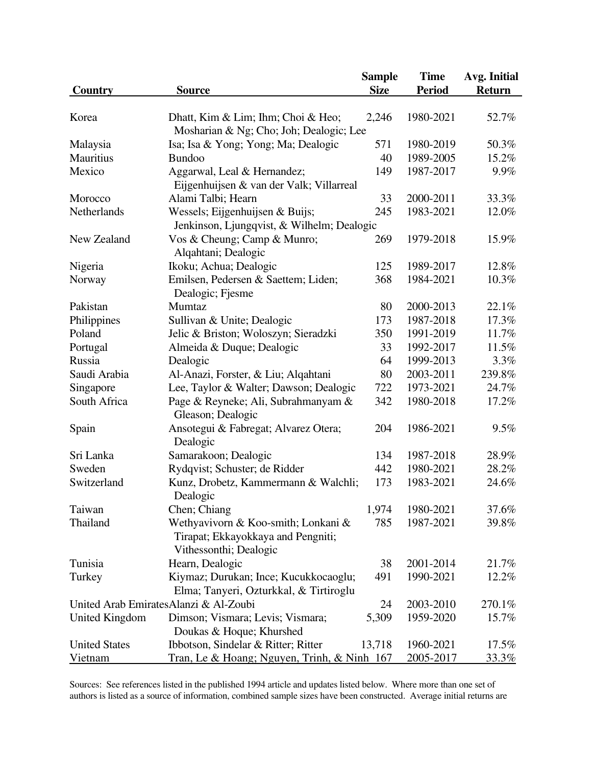|                                       |                                                                               | <b>Sample</b>             | <b>Time</b>   | Avg. Initial  |  |
|---------------------------------------|-------------------------------------------------------------------------------|---------------------------|---------------|---------------|--|
| <b>Country</b>                        | <b>Source</b>                                                                 | <b>Size</b>               | <b>Period</b> | <b>Return</b> |  |
|                                       |                                                                               |                           |               |               |  |
| Korea                                 | Dhatt, Kim & Lim; Ihm; Choi & Heo;                                            | 2,246                     | 1980-2021     | 52.7%         |  |
|                                       | Mosharian & Ng; Cho; Joh; Dealogic; Lee                                       |                           |               |               |  |
| Malaysia                              | Isa; Isa & Yong; Yong; Ma; Dealogic                                           | 571                       | 1980-2019     | 50.3%         |  |
| Mauritius                             | <b>Bundoo</b>                                                                 | 40                        | 1989-2005     | 15.2%         |  |
| Mexico                                | Aggarwal, Leal & Hernandez;<br>Eijgenhuijsen & van der Valk; Villarreal       | 149                       | 1987-2017     | 9.9%          |  |
| Morocco                               | Alami Talbi; Hearn                                                            | 33                        | 2000-2011     | 33.3%         |  |
| Netherlands                           | Wessels; Eijgenhuijsen & Buijs;<br>Jenkinson, Ljungqvist, & Wilhelm; Dealogic | 245<br>1983-2021<br>12.0% |               |               |  |
| New Zealand                           | Vos & Cheung; Camp & Munro;<br>Alqahtani; Dealogic                            | 269                       | 1979-2018     | 15.9%         |  |
| Nigeria                               | Ikoku; Achua; Dealogic                                                        | 125                       | 1989-2017     | 12.8%         |  |
| Norway                                | Emilsen, Pedersen & Saettem; Liden;<br>Dealogic; Fjesme                       | 368                       | 1984-2021     | 10.3%         |  |
| Pakistan                              | Mumtaz                                                                        | 80                        | 2000-2013     | 22.1%         |  |
| Philippines                           | Sullivan & Unite; Dealogic                                                    | 173                       | 1987-2018     | 17.3%         |  |
| Poland                                | Jelic & Briston; Woloszyn; Sieradzki                                          | 350                       | 1991-2019     | 11.7%         |  |
| Portugal                              | Almeida & Duque; Dealogic                                                     | 33                        | 1992-2017     | 11.5%         |  |
| Russia                                | Dealogic                                                                      | 64                        | 1999-2013     | 3.3%          |  |
| Saudi Arabia                          | Al-Anazi, Forster, & Liu; Alqahtani                                           | 80                        | 2003-2011     | 239.8%        |  |
| Singapore                             | Lee, Taylor & Walter; Dawson; Dealogic                                        | 722                       | 1973-2021     | 24.7%         |  |
| South Africa                          | Page & Reyneke; Ali, Subrahmanyam &<br>Gleason; Dealogic                      | 342                       | 1980-2018     | 17.2%         |  |
| Spain                                 | Ansotegui & Fabregat; Alvarez Otera;<br>Dealogic                              | 204                       | 1986-2021     | 9.5%          |  |
| Sri Lanka                             | Samarakoon; Dealogic                                                          | 134                       | 1987-2018     | 28.9%         |  |
| Sweden                                | Rydqvist; Schuster; de Ridder                                                 | 442                       | 1980-2021     | 28.2%         |  |
| Switzerland                           | Kunz, Drobetz, Kammermann & Walchli;<br>Dealogic                              | 173                       | 1983-2021     | 24.6%         |  |
| Taiwan                                | Chen; Chiang                                                                  | 1,974                     | 1980-2021     | 37.6%         |  |
| Thailand                              | Wethyavivorn & Koo-smith; Lonkani &                                           | 785                       | 1987-2021     | 39.8%         |  |
|                                       | Tirapat; Ekkayokkaya and Pengniti;<br>Vithessonthi; Dealogic                  |                           |               |               |  |
| Tunisia                               | Hearn, Dealogic                                                               | 38                        | 2001-2014     | 21.7%         |  |
| Turkey                                | Kiymaz; Durukan; Ince; Kucukkocaoglu;                                         | 491                       | 1990-2021     | 12.2%         |  |
|                                       | Elma; Tanyeri, Ozturkkal, & Tirtiroglu                                        |                           |               |               |  |
| United Arab EmiratesAlanzi & Al-Zoubi |                                                                               | 24                        | 2003-2010     | 270.1%        |  |
| <b>United Kingdom</b>                 | Dimson; Vismara; Levis; Vismara;                                              | 5,309                     | 1959-2020     | 15.7%         |  |
|                                       | Doukas & Hoque; Khurshed                                                      |                           |               |               |  |
| <b>United States</b>                  | Ibbotson, Sindelar & Ritter; Ritter                                           | 13,718                    | 1960-2021     | 17.5%         |  |
| <u>Vietnam</u>                        | Tran, Le & Hoang; Nguyen, Trinh, & Ninh 167                                   |                           | 2005-2017     | <u>33.3%</u>  |  |

Sources: See references listed in the published 1994 article and updates listed below. Where more than one set of authors is listed as a source of information, combined sample sizes have been constructed. Average initial returns are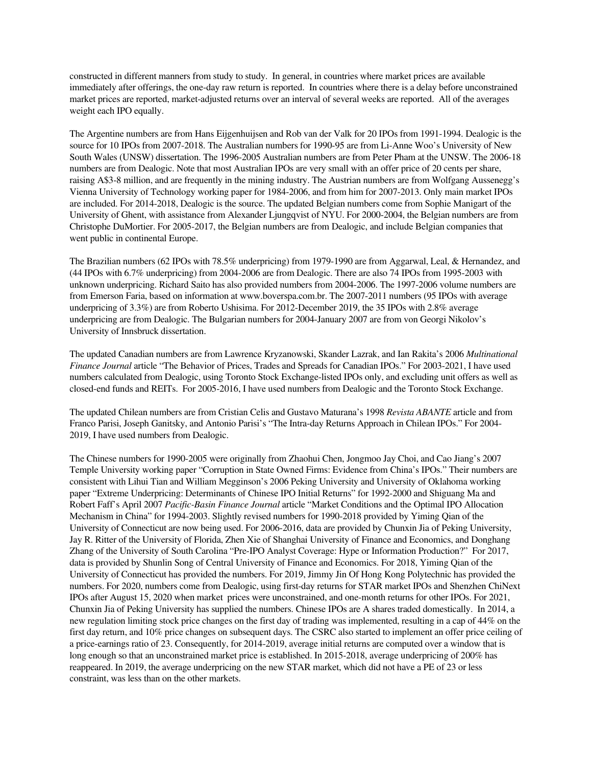constructed in different manners from study to study. In general, in countries where market prices are available immediately after offerings, the one-day raw return is reported. In countries where there is a delay before unconstrained market prices are reported, market-adjusted returns over an interval of several weeks are reported. All of the averages weight each IPO equally.

The Argentine numbers are from Hans Eijgenhuijsen and Rob van der Valk for 20 IPOs from 1991-1994. Dealogic is the source for 10 IPOs from 2007-2018. The Australian numbers for 1990-95 are from Li-Anne Woo's University of New South Wales (UNSW) dissertation. The 1996-2005 Australian numbers are from Peter Pham at the UNSW. The 2006-18 numbers are from Dealogic. Note that most Australian IPOs are very small with an offer price of 20 cents per share, raising A\$3-8 million, and are frequently in the mining industry. The Austrian numbers are from Wolfgang Aussenegg's Vienna University of Technology working paper for 1984-2006, and from him for 2007-2013. Only main market IPOs are included. For 2014-2018, Dealogic is the source. The updated Belgian numbers come from Sophie Manigart of the University of Ghent, with assistance from Alexander Ljungqvist of NYU. For 2000-2004, the Belgian numbers are from Christophe DuMortier. For 2005-2017, the Belgian numbers are from Dealogic, and include Belgian companies that went public in continental Europe.

The Brazilian numbers (62 IPOs with 78.5% underpricing) from 1979-1990 are from Aggarwal, Leal, & Hernandez, and (44 IPOs with 6.7% underpricing) from 2004-2006 are from Dealogic. There are also 74 IPOs from 1995-2003 with unknown underpricing. Richard Saito has also provided numbers from 2004-2006. The 1997-2006 volume numbers are from Emerson Faria, based on information at www.boverspa.com.br. The 2007-2011 numbers (95 IPOs with average underpricing of 3.3%) are from Roberto Ushisima. For 2012-December 2019, the 35 IPOs with 2.8% average underpricing are from Dealogic. The Bulgarian numbers for 2004-January 2007 are from von Georgi Nikolov's University of Innsbruck dissertation.

The updated Canadian numbers are from Lawrence Kryzanowski, Skander Lazrak, and Ian Rakita's 2006 *Multinational Finance Journal* article "The Behavior of Prices, Trades and Spreads for Canadian IPOs." For 2003-2021, I have used numbers calculated from Dealogic, using Toronto Stock Exchange-listed IPOs only, and excluding unit offers as well as closed-end funds and REITs. For 2005-2016, I have used numbers from Dealogic and the Toronto Stock Exchange.

The updated Chilean numbers are from Cristian Celis and Gustavo Maturana's 1998 *Revista ABANTE* article and from Franco Parisi, Joseph Ganitsky, and Antonio Parisi's "The Intra-day Returns Approach in Chilean IPOs." For 2004- 2019, I have used numbers from Dealogic.

The Chinese numbers for 1990-2005 were originally from Zhaohui Chen, Jongmoo Jay Choi, and Cao Jiang's 2007 Temple University working paper "Corruption in State Owned Firms: Evidence from China's IPOs." Their numbers are consistent with Lihui Tian and William Megginson's 2006 Peking University and University of Oklahoma working paper "Extreme Underpricing: Determinants of Chinese IPO Initial Returns" for 1992-2000 and Shiguang Ma and Robert Faff's April 2007 *Pacific-Basin Finance Journal* article "Market Conditions and the Optimal IPO Allocation Mechanism in China" for 1994-2003. Slightly revised numbers for 1990-2018 provided by Yiming Qian of the University of Connecticut are now being used. For 2006-2016, data are provided by Chunxin Jia of Peking University, Jay R. Ritter of the University of Florida, Zhen Xie of Shanghai University of Finance and Economics, and Donghang Zhang of the University of South Carolina "Pre-IPO Analyst Coverage: Hype or Information Production?" For 2017, data is provided by Shunlin Song of Central University of Finance and Economics. For 2018, Yiming Qian of the University of Connecticut has provided the numbers. For 2019, Jimmy Jin Of Hong Kong Polytechnic has provided the numbers. For 2020, numbers come from Dealogic, using first-day returns for STAR market IPOs and Shenzhen ChiNext IPOs after August 15, 2020 when market prices were unconstrained, and one-month returns for other IPOs. For 2021, Chunxin Jia of Peking University has supplied the numbers. Chinese IPOs are A shares traded domestically. In 2014, a new regulation limiting stock price changes on the first day of trading was implemented, resulting in a cap of 44% on the first day return, and 10% price changes on subsequent days. The CSRC also started to implement an offer price ceiling of a price-earnings ratio of 23. Consequently, for 2014-2019, average initial returns are computed over a window that is long enough so that an unconstrained market price is established. In 2015-2018, average underpricing of 200% has reappeared. In 2019, the average underpricing on the new STAR market, which did not have a PE of 23 or less constraint, was less than on the other markets.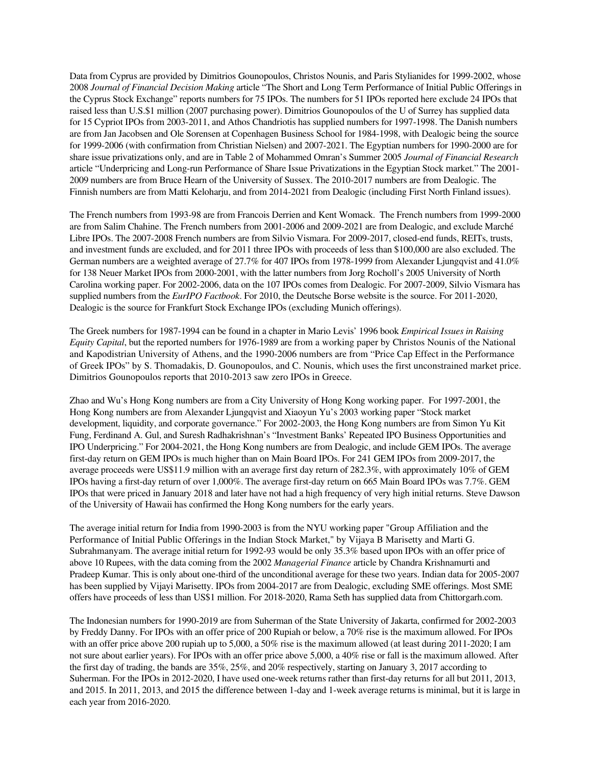Data from Cyprus are provided by Dimitrios Gounopoulos, Christos Nounis, and Paris Stylianides for 1999-2002, whose 2008 *Journal of Financial Decision Making* article "The Short and Long Term Performance of Initial Public Offerings in the Cyprus Stock Exchange" reports numbers for 75 IPOs. The numbers for 51 IPOs reported here exclude 24 IPOs that raised less than U.S.\$1 million (2007 purchasing power). Dimitrios Gounopoulos of the U of Surrey has supplied data for 15 Cypriot IPOs from 2003-2011, and Athos Chandriotis has supplied numbers for 1997-1998. The Danish numbers are from Jan Jacobsen and Ole Sorensen at Copenhagen Business School for 1984-1998, with Dealogic being the source for 1999-2006 (with confirmation from Christian Nielsen) and 2007-2021. The Egyptian numbers for 1990-2000 are for share issue privatizations only, and are in Table 2 of Mohammed Omran's Summer 2005 *Journal of Financial Research* article "Underpricing and Long-run Performance of Share Issue Privatizations in the Egyptian Stock market." The 2001- 2009 numbers are from Bruce Hearn of the University of Sussex. The 2010-2017 numbers are from Dealogic. The Finnish numbers are from Matti Keloharju, and from 2014-2021 from Dealogic (including First North Finland issues).

The French numbers from 1993-98 are from Francois Derrien and Kent Womack. The French numbers from 1999-2000 are from Salim Chahine. The French numbers from 2001-2006 and 2009-2021 are from Dealogic, and exclude Marché Libre IPOs. The 2007-2008 French numbers are from Silvio Vismara. For 2009-2017, closed-end funds, REITs, trusts, and investment funds are excluded, and for 2011 three IPOs with proceeds of less than \$100,000 are also excluded. The German numbers are a weighted average of 27.7% for 407 IPOs from 1978-1999 from Alexander Ljungqvist and 41.0% for 138 Neuer Market IPOs from 2000-2001, with the latter numbers from Jorg Rocholl's 2005 University of North Carolina working paper. For 2002-2006, data on the 107 IPOs comes from Dealogic. For 2007-2009, Silvio Vismara has supplied numbers from the *EurIPO Factbook*. For 2010, the Deutsche Borse website is the source. For 2011-2020, Dealogic is the source for Frankfurt Stock Exchange IPOs (excluding Munich offerings).

The Greek numbers for 1987-1994 can be found in a chapter in Mario Levis' 1996 book *Empirical Issues in Raising Equity Capital*, but the reported numbers for 1976-1989 are from a working paper by Christos Nounis of the National and Kapodistrian University of Athens, and the 1990-2006 numbers are from "Price Cap Effect in the Performance of Greek IPOs" by S. Thomadakis, D. Gounopoulos, and C. Nounis, which uses the first unconstrained market price. Dimitrios Gounopoulos reports that 2010-2013 saw zero IPOs in Greece.

Zhao and Wu's Hong Kong numbers are from a City University of Hong Kong working paper. For 1997-2001, the Hong Kong numbers are from Alexander Ljungqvist and Xiaoyun Yu's 2003 working paper "Stock market development, liquidity, and corporate governance." For 2002-2003, the Hong Kong numbers are from Simon Yu Kit Fung, Ferdinand A. Gul, and Suresh Radhakrishnan's "Investment Banks' Repeated IPO Business Opportunities and IPO Underpricing." For 2004-2021, the Hong Kong numbers are from Dealogic, and include GEM IPOs. The average first-day return on GEM IPOs is much higher than on Main Board IPOs. For 241 GEM IPOs from 2009-2017, the average proceeds were US\$11.9 million with an average first day return of 282.3%, with approximately 10% of GEM IPOs having a first-day return of over 1,000%. The average first-day return on 665 Main Board IPOs was 7.7%. GEM IPOs that were priced in January 2018 and later have not had a high frequency of very high initial returns. Steve Dawson of the University of Hawaii has confirmed the Hong Kong numbers for the early years.

The average initial return for India from 1990-2003 is from the NYU working paper "Group Affiliation and the Performance of Initial Public Offerings in the Indian Stock Market," by Vijaya B Marisetty and Marti G. Subrahmanyam. The average initial return for 1992-93 would be only 35.3% based upon IPOs with an offer price of above 10 Rupees, with the data coming from the 2002 *Managerial Finance* article by Chandra Krishnamurti and Pradeep Kumar. This is only about one-third of the unconditional average for these two years. Indian data for 2005-2007 has been supplied by Vijayi Marisetty. IPOs from 2004-2017 are from Dealogic, excluding SME offerings. Most SME offers have proceeds of less than US\$1 million. For 2018-2020, Rama Seth has supplied data from Chittorgarh.com.

The Indonesian numbers for 1990-2019 are from Suherman of the State University of Jakarta, confirmed for 2002-2003 by Freddy Danny. For IPOs with an offer price of 200 Rupiah or below, a 70% rise is the maximum allowed. For IPOs with an offer price above 200 rupiah up to 5,000, a 50% rise is the maximum allowed (at least during 2011-2020; I am not sure about earlier years). For IPOs with an offer price above 5,000, a 40% rise or fall is the maximum allowed. After the first day of trading, the bands are 35%, 25%, and 20% respectively, starting on January 3, 2017 according to Suherman. For the IPOs in 2012-2020, I have used one-week returns rather than first-day returns for all but 2011, 2013, and 2015. In 2011, 2013, and 2015 the difference between 1-day and 1-week average returns is minimal, but it is large in each year from 2016-2020.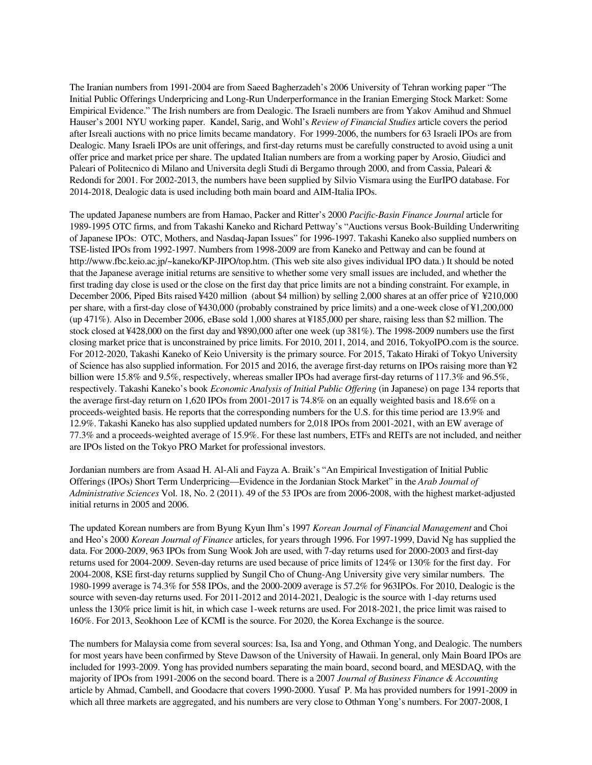The Iranian numbers from 1991-2004 are from Saeed Bagherzadeh's 2006 University of Tehran working paper "The Initial Public Offerings Underpricing and Long-Run Underperformance in the Iranian Emerging Stock Market: Some Empirical Evidence." The Irish numbers are from Dealogic. The Israeli numbers are from Yakov Amihud and Shmuel Hauser's 2001 NYU working paper. Kandel, Sarig, and Wohl's *Review of Financial Studies* article covers the period after Isreali auctions with no price limits became mandatory. For 1999-2006, the numbers for 63 Israeli IPOs are from Dealogic. Many Israeli IPOs are unit offerings, and first-day returns must be carefully constructed to avoid using a unit offer price and market price per share. The updated Italian numbers are from a working paper by Arosio, Giudici and Paleari of Politecnico di Milano and Universita degli Studi di Bergamo through 2000, and from Cassia, Paleari & Redondi for 2001. For 2002-2013, the numbers have been supplied by Silvio Vismara using the EurIPO database. For 2014-2018, Dealogic data is used including both main board and AIM-Italia IPOs.

The updated Japanese numbers are from Hamao, Packer and Ritter's 2000 *Pacific-Basin Finance Journal* article for 1989-1995 OTC firms, and from Takashi Kaneko and Richard Pettway's "Auctions versus Book-Building Underwriting of Japanese IPOs: OTC, Mothers, and Nasdaq-Japan Issues" for 1996-1997. Takashi Kaneko also supplied numbers on TSE-listed IPOs from 1992-1997. Numbers from 1998-2009 are from Kaneko and Pettway and can be found at http://www.fbc.keio.ac.jp/~kaneko/KP-JIPO/top.htm. (This web site also gives individual IPO data.) It should be noted that the Japanese average initial returns are sensitive to whether some very small issues are included, and whether the first trading day close is used or the close on the first day that price limits are not a binding constraint. For example, in December 2006, Piped Bits raised ¥420 million (about \$4 million) by selling 2,000 shares at an offer price of ¥210,000 per share, with a first-day close of ¥430,000 (probably constrained by price limits) and a one-week close of ¥1,200,000 (up 471%). Also in December 2006, eBase sold 1,000 shares at ¥185,000 per share, raising less than \$2 million. The stock closed at ¥428,000 on the first day and ¥890,000 after one week (up 381%). The 1998-2009 numbers use the first closing market price that is unconstrained by price limits. For 2010, 2011, 2014, and 2016, TokyoIPO.com is the source. For 2012-2020, Takashi Kaneko of Keio University is the primary source. For 2015, Takato Hiraki of Tokyo University of Science has also supplied information. For 2015 and 2016, the average first-day returns on IPOs raising more than ¥2 billion were 15.8% and 9.5%, respectively, whereas smaller IPOs had average first-day returns of 117.3% and 96.5%, respectively. Takashi Kaneko's book *Economic Analysis of Initial Public Offering* (in Japanese) on page 134 reports that the average first-day return on 1,620 IPOs from 2001-2017 is 74.8% on an equally weighted basis and 18.6% on a proceeds-weighted basis. He reports that the corresponding numbers for the U.S. for this time period are 13.9% and 12.9%. Takashi Kaneko has also supplied updated numbers for 2,018 IPOs from 2001-2021, with an EW average of 77.3% and a proceeds-weighted average of 15.9%. For these last numbers, ETFs and REITs are not included, and neither are IPOs listed on the Tokyo PRO Market for professional investors.

Jordanian numbers are from Asaad H. Al-Ali and Fayza A. Braik's "An Empirical Investigation of Initial Public Offerings (IPOs) Short Term Underpricing—Evidence in the Jordanian Stock Market" in the *Arab Journal of Administrative Sciences* Vol. 18, No. 2 (2011). 49 of the 53 IPOs are from 2006-2008, with the highest market-adjusted initial returns in 2005 and 2006.

The updated Korean numbers are from Byung Kyun Ihm's 1997 *Korean Journal of Financial Management* and Choi and Heo's 2000 *Korean Journal of Finance* articles, for years through 1996. For 1997-1999, David Ng has supplied the data. For 2000-2009, 963 IPOs from Sung Wook Joh are used, with 7-day returns used for 2000-2003 and first-day returns used for 2004-2009. Seven-day returns are used because of price limits of 124% or 130% for the first day. For 2004-2008, KSE first-day returns supplied by Sungil Cho of Chung-Ang University give very similar numbers. The 1980-1999 average is 74.3% for 558 IPOs, and the 2000-2009 average is 57.2% for 963IPOs. For 2010, Dealogic is the source with seven-day returns used. For 2011-2012 and 2014-2021, Dealogic is the source with 1-day returns used unless the 130% price limit is hit, in which case 1-week returns are used. For 2018-2021, the price limit was raised to 160%. For 2013, Seokhoon Lee of KCMI is the source. For 2020, the Korea Exchange is the source.

The numbers for Malaysia come from several sources: Isa, Isa and Yong, and Othman Yong, and Dealogic. The numbers for most years have been confirmed by Steve Dawson of the University of Hawaii. In general, only Main Board IPOs are included for 1993-2009. Yong has provided numbers separating the main board, second board, and MESDAQ, with the majority of IPOs from 1991-2006 on the second board. There is a 2007 *Journal of Business Finance & Accounting* article by Ahmad, Cambell, and Goodacre that covers 1990-2000. Yusaf P. Ma has provided numbers for 1991-2009 in which all three markets are aggregated, and his numbers are very close to Othman Yong's numbers. For 2007-2008, I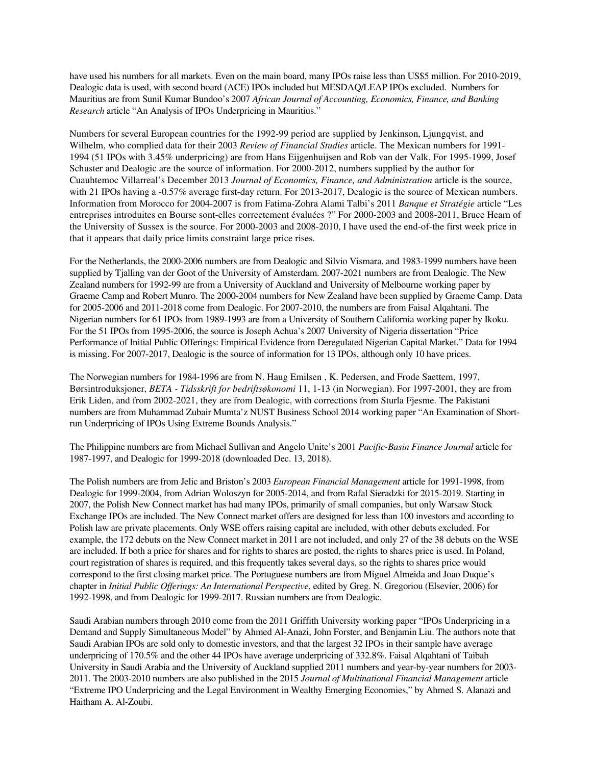have used his numbers for all markets. Even on the main board, many IPOs raise less than US\$5 million. For 2010-2019, Dealogic data is used, with second board (ACE) IPOs included but MESDAQ/LEAP IPOs excluded. Numbers for Mauritius are from Sunil Kumar Bundoo's 2007 *African Journal of Accounting, Economics, Finance, and Banking Research* article "An Analysis of IPOs Underpricing in Mauritius."

Numbers for several European countries for the 1992-99 period are supplied by Jenkinson, Ljungqvist, and Wilhelm, who complied data for their 2003 *Review of Financial Studies* article. The Mexican numbers for 1991- 1994 (51 IPOs with 3.45% underpricing) are from Hans Eijgenhuijsen and Rob van der Valk. For 1995-1999, Josef Schuster and Dealogic are the source of information. For 2000-2012, numbers supplied by the author for Cuauhtemoc Villarreal's December 2013 *Journal of Economics, Finance, and Administration* article is the source, with 21 IPOs having a -0.57% average first-day return. For 2013-2017, Dealogic is the source of Mexican numbers. Information from Morocco for 2004-2007 is from Fatima-Zohra Alami Talbi's 2011 *Banque et Stratégie* article "Les entreprises introduites en Bourse sont-elles correctement évaluées ?" For 2000-2003 and 2008-2011, Bruce Hearn of the University of Sussex is the source. For 2000-2003 and 2008-2010, I have used the end-of-the first week price in that it appears that daily price limits constraint large price rises.

For the Netherlands, the 2000-2006 numbers are from Dealogic and Silvio Vismara, and 1983-1999 numbers have been supplied by Tjalling van der Goot of the University of Amsterdam. 2007-2021 numbers are from Dealogic. The New Zealand numbers for 1992-99 are from a University of Auckland and University of Melbourne working paper by Graeme Camp and Robert Munro. The 2000-2004 numbers for New Zealand have been supplied by Graeme Camp. Data for 2005-2006 and 2011-2018 come from Dealogic. For 2007-2010, the numbers are from Faisal Alqahtani. The Nigerian numbers for 61 IPOs from 1989-1993 are from a University of Southern California working paper by Ikoku. For the 51 IPOs from 1995-2006, the source is Joseph Achua's 2007 University of Nigeria dissertation "Price Performance of Initial Public Offerings: Empirical Evidence from Deregulated Nigerian Capital Market." Data for 1994 is missing. For 2007-2017, Dealogic is the source of information for 13 IPOs, although only 10 have prices.

The Norwegian numbers for 1984-1996 are from N. Haug Emilsen , K. Pedersen, and Frode Saettem, 1997, Børsintroduksjoner, *BETA - Tidsskrift for bedriftsøkonomi* 11, 1-13 (in Norwegian). For 1997-2001, they are from Erik Liden, and from 2002-2021, they are from Dealogic, with corrections from Sturla Fjesme. The Pakistani numbers are from Muhammad Zubair Mumta'z NUST Business School 2014 working paper "An Examination of Shortrun Underpricing of IPOs Using Extreme Bounds Analysis."

The Philippine numbers are from Michael Sullivan and Angelo Unite's 2001 *Pacific-Basin Finance Journal* article for 1987-1997, and Dealogic for 1999-2018 (downloaded Dec. 13, 2018).

The Polish numbers are from Jelic and Briston's 2003 *European Financial Management* article for 1991-1998, from Dealogic for 1999-2004, from Adrian Woloszyn for 2005-2014, and from Rafal Sieradzki for 2015-2019. Starting in 2007, the Polish New Connect market has had many IPOs, primarily of small companies, but only Warsaw Stock Exchange IPOs are included. The New Connect market offers are designed for less than 100 investors and according to Polish law are private placements. Only WSE offers raising capital are included, with other debuts excluded. For example, the 172 debuts on the New Connect market in 2011 are not included, and only 27 of the 38 debuts on the WSE are included. If both a price for shares and for rights to shares are posted, the rights to shares price is used. In Poland, court registration of shares is required, and this frequently takes several days, so the rights to shares price would correspond to the first closing market price. The Portuguese numbers are from Miguel Almeida and Joao Duque's chapter in *Initial Public Offerings: An International Perspective*, edited by Greg. N. Gregoriou (Elsevier, 2006) for 1992-1998, and from Dealogic for 1999-2017. Russian numbers are from Dealogic.

Saudi Arabian numbers through 2010 come from the 2011 Griffith University working paper "IPOs Underpricing in a Demand and Supply Simultaneous Model" by Ahmed Al-Anazi, John Forster, and Benjamin Liu. The authors note that Saudi Arabian IPOs are sold only to domestic investors, and that the largest 32 IPOs in their sample have average underpricing of 170.5% and the other 44 IPOs have average underpricing of 332.8%. Faisal Alqahtani of Taibah University in Saudi Arabia and the University of Auckland supplied 2011 numbers and year-by-year numbers for 2003- 2011. The 2003-2010 numbers are also published in the 2015 *Journal of Multinational Financial Management* article "Extreme IPO Underpricing and the Legal Environment in Wealthy Emerging Economies," by Ahmed S. Alanazi and Haitham A. Al-Zoubi.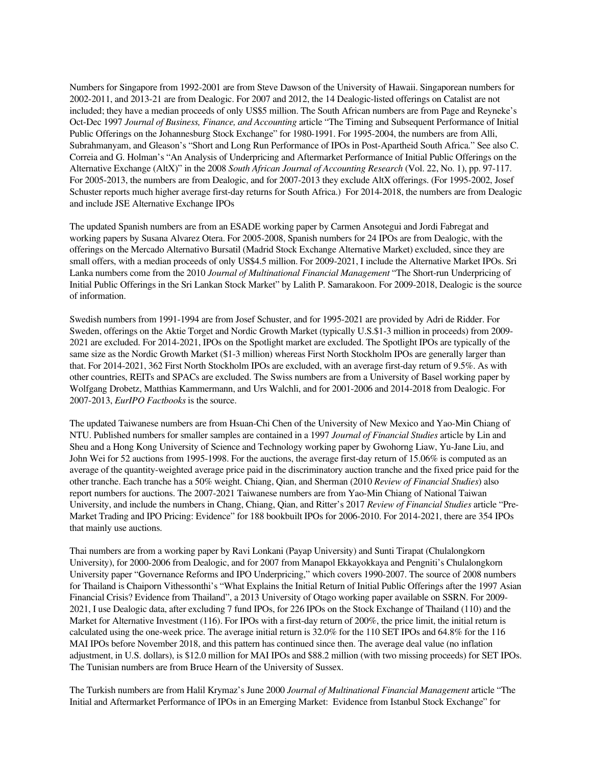Numbers for Singapore from 1992-2001 are from Steve Dawson of the University of Hawaii. Singaporean numbers for 2002-2011, and 2013-21 are from Dealogic. For 2007 and 2012, the 14 Dealogic-listed offerings on Catalist are not included; they have a median proceeds of only US\$5 million. The South African numbers are from Page and Reyneke's Oct-Dec 1997 *Journal of Business, Finance, and Accounting* article "The Timing and Subsequent Performance of Initial Public Offerings on the Johannesburg Stock Exchange" for 1980-1991. For 1995-2004, the numbers are from Alli, Subrahmanyam, and Gleason's "Short and Long Run Performance of IPOs in Post-Apartheid South Africa." See also C. Correia and G. Holman's "An Analysis of Underpricing and Aftermarket Performance of Initial Public Offerings on the Alternative Exchange (AltX)" in the 2008 *South African Journal of Accounting Research* (Vol. 22, No. 1), pp. 97-117. For 2005-2013, the numbers are from Dealogic, and for 2007-2013 they exclude AltX offerings. (For 1995-2002, Josef Schuster reports much higher average first-day returns for South Africa.) For 2014-2018, the numbers are from Dealogic and include JSE Alternative Exchange IPOs

The updated Spanish numbers are from an ESADE working paper by Carmen Ansotegui and Jordi Fabregat and working papers by Susana Alvarez Otera. For 2005-2008, Spanish numbers for 24 IPOs are from Dealogic, with the offerings on the Mercado Alternativo Bursatil (Madrid Stock Exchange Alternative Market) excluded, since they are small offers, with a median proceeds of only US\$4.5 million. For 2009-2021, I include the Alternative Market IPOs. Sri Lanka numbers come from the 2010 *Journal of Multinational Financial Management* "The Short-run Underpricing of Initial Public Offerings in the Sri Lankan Stock Market" by Lalith P. Samarakoon. For 2009-2018, Dealogic is the source of information.

Swedish numbers from 1991-1994 are from Josef Schuster, and for 1995-2021 are provided by Adri de Ridder. For Sweden, offerings on the Aktie Torget and Nordic Growth Market (typically U.S.\$1-3 million in proceeds) from 2009- 2021 are excluded. For 2014-2021, IPOs on the Spotlight market are excluded. The Spotlight IPOs are typically of the same size as the Nordic Growth Market (\$1-3 million) whereas First North Stockholm IPOs are generally larger than that. For 2014-2021, 362 First North Stockholm IPOs are excluded, with an average first-day return of 9.5%. As with other countries, REITs and SPACs are excluded. The Swiss numbers are from a University of Basel working paper by Wolfgang Drobetz, Matthias Kammermann, and Urs Walchli, and for 2001-2006 and 2014-2018 from Dealogic. For 2007-2013, *EurIPO Factbooks* is the source.

The updated Taiwanese numbers are from Hsuan-Chi Chen of the University of New Mexico and Yao-Min Chiang of NTU. Published numbers for smaller samples are contained in a 1997 *Journal of Financial Studies* article by Lin and Sheu and a Hong Kong University of Science and Technology working paper by Gwohorng Liaw, Yu-Jane Liu, and John Wei for 52 auctions from 1995-1998. For the auctions, the average first-day return of 15.06% is computed as an average of the quantity-weighted average price paid in the discriminatory auction tranche and the fixed price paid for the other tranche. Each tranche has a 50% weight. Chiang, Qian, and Sherman (2010 *Review of Financial Studies*) also report numbers for auctions. The 2007-2021 Taiwanese numbers are from Yao-Min Chiang of National Taiwan University, and include the numbers in Chang, Chiang, Qian, and Ritter's 2017 *Review of Financial Studies* article "Pre-Market Trading and IPO Pricing: Evidence" for 188 bookbuilt IPOs for 2006-2010. For 2014-2021, there are 354 IPOs that mainly use auctions.

Thai numbers are from a working paper by Ravi Lonkani (Payap University) and Sunti Tirapat (Chulalongkorn University), for 2000-2006 from Dealogic, and for 2007 from Manapol Ekkayokkaya and Pengniti's Chulalongkorn University paper "Governance Reforms and IPO Underpricing," which covers 1990-2007. The source of 2008 numbers for Thailand is Chaiporn Vithessonthi's "What Explains the Initial Return of Initial Public Offerings after the 1997 Asian Financial Crisis? Evidence from Thailand", a 2013 University of Otago working paper available on SSRN. For 2009- 2021, I use Dealogic data, after excluding 7 fund IPOs, for 226 IPOs on the Stock Exchange of Thailand (110) and the Market for Alternative Investment (116). For IPOs with a first-day return of 200%, the price limit, the initial return is calculated using the one-week price. The average initial return is 32.0% for the 110 SET IPOs and 64.8% for the 116 MAI IPOs before November 2018, and this pattern has continued since then. The average deal value (no inflation adjustment, in U.S. dollars), is \$12.0 million for MAI IPOs and \$88.2 million (with two missing proceeds) for SET IPOs. The Tunisian numbers are from Bruce Hearn of the University of Sussex.

The Turkish numbers are from Halil Krymaz's June 2000 *Journal of Multinational Financial Management* article "The Initial and Aftermarket Performance of IPOs in an Emerging Market: Evidence from Istanbul Stock Exchange" for